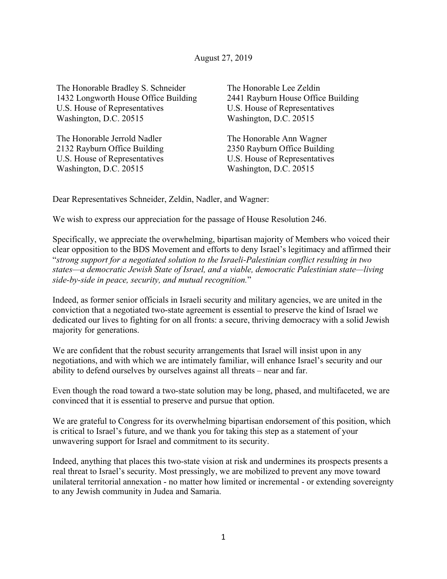The Honorable Bradley S. Schneider 1432 Longworth House Office Building U.S. House of Representatives Washington, D.C. 20515

The Honorable Jerrold Nadler 2132 Rayburn Office Building U.S. House of Representatives Washington, D.C. 20515

The Honorable Lee Zeldin 2441 Rayburn House Office Building U.S. House of Representatives Washington, D.C. 20515

The Honorable Ann Wagner 2350 Rayburn Office Building U.S. House of Representatives Washington, D.C. 20515

Dear Representatives Schneider, Zeldin, Nadler, and Wagner:

We wish to express our appreciation for the passage of House Resolution 246.

Specifically, we appreciate the overwhelming, bipartisan majority of Members who voiced their clear opposition to the BDS Movement and efforts to deny Israel's legitimacy and affirmed their "*strong support for a negotiated solution to the Israeli-Palestinian conflict resulting in two states—a democratic Jewish State of Israel, and a viable, democratic Palestinian state—living side-by-side in peace, security, and mutual recognition.*"

Indeed, as former senior officials in Israeli security and military agencies, we are united in the conviction that a negotiated two-state agreement is essential to preserve the kind of Israel we dedicated our lives to fighting for on all fronts: a secure, thriving democracy with a solid Jewish majority for generations.

We are confident that the robust security arrangements that Israel will insist upon in any negotiations, and with which we are intimately familiar, will enhance Israel's security and our ability to defend ourselves by ourselves against all threats – near and far.

Even though the road toward a two-state solution may be long, phased, and multifaceted, we are convinced that it is essential to preserve and pursue that option.

We are grateful to Congress for its overwhelming bipartisan endorsement of this position, which is critical to Israel's future, and we thank you for taking this step as a statement of your unwavering support for Israel and commitment to its security.

Indeed, anything that places this two-state vision at risk and undermines its prospects presents a real threat to Israel's security. Most pressingly, we are mobilized to prevent any move toward unilateral territorial annexation - no matter how limited or incremental - or extending sovereignty to any Jewish community in Judea and Samaria.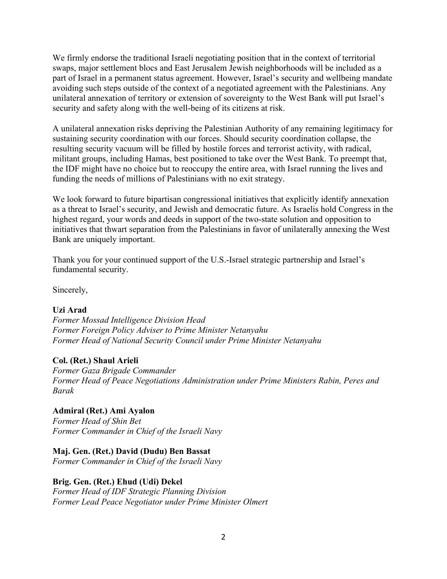We firmly endorse the traditional Israeli negotiating position that in the context of territorial swaps, major settlement blocs and East Jerusalem Jewish neighborhoods will be included as a part of Israel in a permanent status agreement. However, Israel's security and wellbeing mandate avoiding such steps outside of the context of a negotiated agreement with the Palestinians. Any unilateral annexation of territory or extension of sovereignty to the West Bank will put Israel's security and safety along with the well-being of its citizens at risk.

A unilateral annexation risks depriving the Palestinian Authority of any remaining legitimacy for sustaining security coordination with our forces. Should security coordination collapse, the resulting security vacuum will be filled by hostile forces and terrorist activity, with radical, militant groups, including Hamas, best positioned to take over the West Bank. To preempt that, the IDF might have no choice but to reoccupy the entire area, with Israel running the lives and funding the needs of millions of Palestinians with no exit strategy.

We look forward to future bipartisan congressional initiatives that explicitly identify annexation as a threat to Israel's security, and Jewish and democratic future. As Israelis hold Congress in the highest regard, your words and deeds in support of the two-state solution and opposition to initiatives that thwart separation from the Palestinians in favor of unilaterally annexing the West Bank are uniquely important.

Thank you for your continued support of the U.S.-Israel strategic partnership and Israel's fundamental security.

Sincerely,

## **Uzi Arad**

*Former Mossad Intelligence Division Head Former Foreign Policy Adviser to Prime Minister Netanyahu Former Head of National Security Council under Prime Minister Netanyahu*

## **Col. (Ret.) Shaul Arieli**

*Former Gaza Brigade Commander Former Head of Peace Negotiations Administration under Prime Ministers Rabin, Peres and Barak*

## **Admiral (Ret.) Ami Ayalon**

*Former Head of Shin Bet Former Commander in Chief of the Israeli Navy*

## **Maj. Gen. (Ret.) David (Dudu) Ben Bassat**

*Former Commander in Chief of the Israeli Navy*

#### **Brig. Gen. (Ret.) Ehud (Udi) Dekel**

*Former Head of IDF Strategic Planning Division Former Lead Peace Negotiator under Prime Minister Olmert*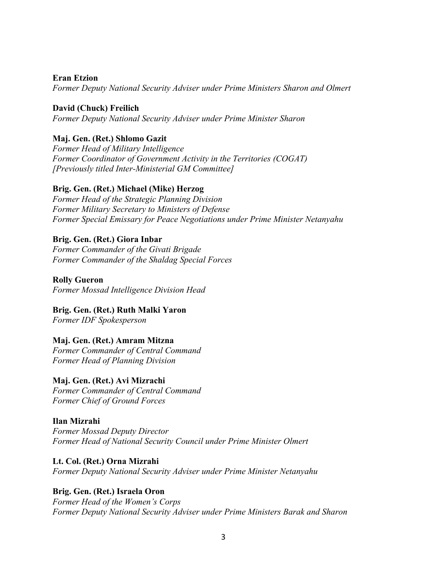**Eran Etzion**

*Former Deputy National Security Adviser under Prime Ministers Sharon and Olmert* 

**David (Chuck) Freilich** *Former Deputy National Security Adviser under Prime Minister Sharon*

# **Maj. Gen. (Ret.) Shlomo Gazit**

*Former Head of Military Intelligence Former Coordinator of Government Activity in the Territories (COGAT) [Previously titled Inter-Ministerial GM Committee]*

## **Brig. Gen. (Ret.) Michael (Mike) Herzog**

*Former Head of the Strategic Planning Division Former Military Secretary to Ministers of Defense Former Special Emissary for Peace Negotiations under Prime Minister Netanyahu*

#### **Brig. Gen. (Ret.) Giora Inbar**

*Former Commander of the Givati Brigade Former Commander of the Shaldag Special Forces*

**Rolly Gueron** *Former Mossad Intelligence Division Head*

## **Brig. Gen. (Ret.) Ruth Malki Yaron**

*Former IDF Spokesperson*

## **Maj. Gen. (Ret.) Amram Mitzna**

*Former Commander of Central Command Former Head of Planning Division*

#### **Maj. Gen. (Ret.) Avi Mizrachi**

*Former Commander of Central Command Former Chief of Ground Forces*

#### **Ilan Mizrahi**

*Former Mossad Deputy Director Former Head of National Security Council under Prime Minister Olmert*

#### **Lt. Col. (Ret.) Orna Mizrahi**

*Former Deputy National Security Adviser under Prime Minister Netanyahu*

## **Brig. Gen. (Ret.) Israela Oron**

*Former Head of the Women's Corps Former Deputy National Security Adviser under Prime Ministers Barak and Sharon*